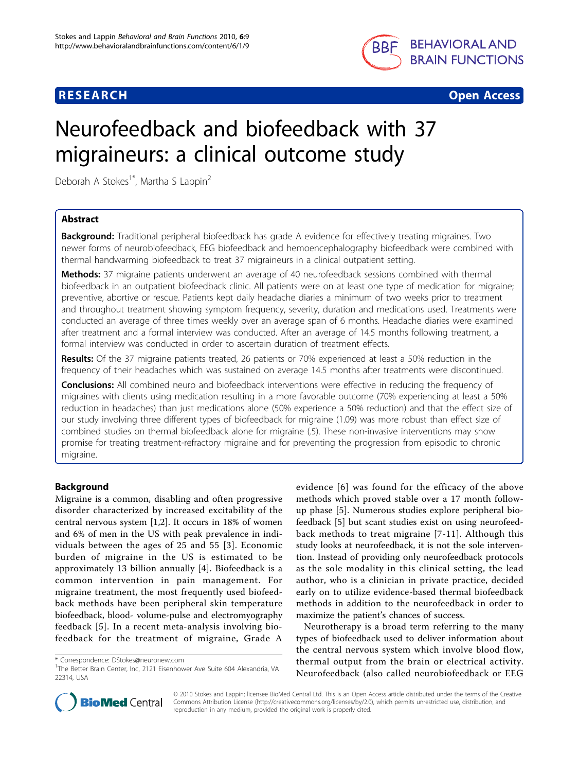

**RESEARCH CONSTRUCTION CONSTRUCTS** 

# Neurofeedback and biofeedback with 37 migraineurs: a clinical outcome study

Deborah A Stokes<sup>1\*</sup>, Martha S Lappin<sup>2</sup>

# Abstract

**Background:** Traditional peripheral biofeedback has grade A evidence for effectively treating migraines. Two newer forms of neurobiofeedback, EEG biofeedback and hemoencephalography biofeedback were combined with thermal handwarming biofeedback to treat 37 migraineurs in a clinical outpatient setting.

Methods: 37 migraine patients underwent an average of 40 neurofeedback sessions combined with thermal biofeedback in an outpatient biofeedback clinic. All patients were on at least one type of medication for migraine; preventive, abortive or rescue. Patients kept daily headache diaries a minimum of two weeks prior to treatment and throughout treatment showing symptom frequency, severity, duration and medications used. Treatments were conducted an average of three times weekly over an average span of 6 months. Headache diaries were examined after treatment and a formal interview was conducted. After an average of 14.5 months following treatment, a formal interview was conducted in order to ascertain duration of treatment effects.

Results: Of the 37 migraine patients treated, 26 patients or 70% experienced at least a 50% reduction in the frequency of their headaches which was sustained on average 14.5 months after treatments were discontinued.

**Conclusions:** All combined neuro and biofeedback interventions were effective in reducing the frequency of migraines with clients using medication resulting in a more favorable outcome (70% experiencing at least a 50% reduction in headaches) than just medications alone (50% experience a 50% reduction) and that the effect size of our study involving three different types of biofeedback for migraine (1.09) was more robust than effect size of combined studies on thermal biofeedback alone for migraine (.5). These non-invasive interventions may show promise for treating treatment-refractory migraine and for preventing the progression from episodic to chronic migraine.

# Background

Migraine is a common, disabling and often progressive disorder characterized by increased excitability of the central nervous system [[1,2\]](#page-8-0). It occurs in 18% of women and 6% of men in the US with peak prevalence in individuals between the ages of 25 and 55 [[3](#page-8-0)]. Economic burden of migraine in the US is estimated to be approximately 13 billion annually [\[4](#page-8-0)]. Biofeedback is a common intervention in pain management. For migraine treatment, the most frequently used biofeedback methods have been peripheral skin temperature biofeedback, blood- volume-pulse and electromyography feedback [[5\]](#page-8-0). In a recent meta-analysis involving biofeedback for the treatment of migraine, Grade A

evidence [[6\]](#page-8-0) was found for the efficacy of the above methods which proved stable over a 17 month followup phase [[5\]](#page-8-0). Numerous studies explore peripheral biofeedback [\[5](#page-8-0)] but scant studies exist on using neurofeedback methods to treat migraine [[7](#page-9-0)-[11](#page-9-0)]. Although this study looks at neurofeedback, it is not the sole intervention. Instead of providing only neurofeedback protocols as the sole modality in this clinical setting, the lead author, who is a clinician in private practice, decided early on to utilize evidence-based thermal biofeedback methods in addition to the neurofeedback in order to maximize the patient's chances of success.

Neurotherapy is a broad term referring to the many types of biofeedback used to deliver information about the central nervous system which involve blood flow, thermal output from the brain or electrical activity. Neurofeedback (also called neurobiofeedback or EEG



© 2010 Stokes and Lappin; licensee BioMed Central Ltd. This is an Open Access article distributed under the terms of the Creative Commons Attribution License [\(http://creativecommons.org/licenses/by/2.0](http://creativecommons.org/licenses/by/2.0)), which permits unrestricted use, distribution, and reproduction in any medium, provided the original work is properly cited.

<sup>\*</sup> Correspondence: [DStokes@neuronew.com](mailto:DStokes@neuronew.com)

<sup>&</sup>lt;sup>1</sup>The Better Brain Center, Inc, 2121 Eisenhower Ave Suite 604 Alexandria, VA 22314, USA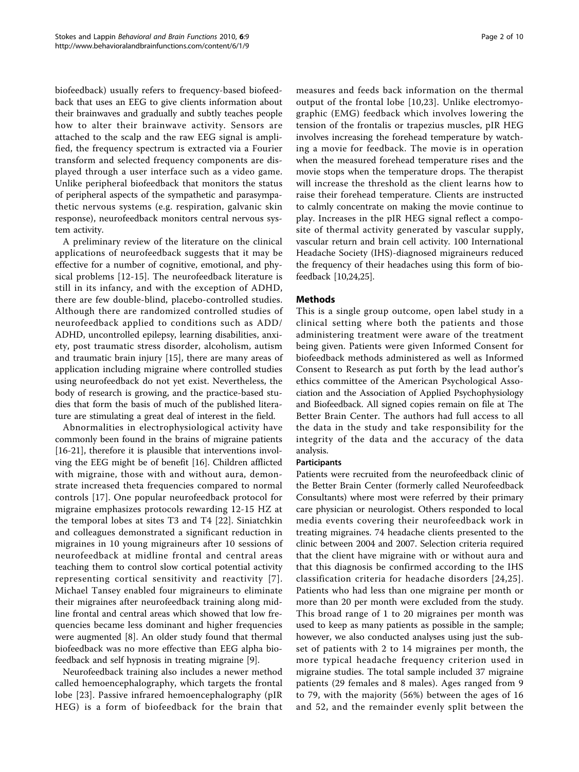biofeedback) usually refers to frequency-based biofeedback that uses an EEG to give clients information about their brainwaves and gradually and subtly teaches people how to alter their brainwave activity. Sensors are attached to the scalp and the raw EEG signal is amplified, the frequency spectrum is extracted via a Fourier transform and selected frequency components are displayed through a user interface such as a video game. Unlike peripheral biofeedback that monitors the status of peripheral aspects of the sympathetic and parasympathetic nervous systems (e.g. respiration, galvanic skin response), neurofeedback monitors central nervous system activity.

A preliminary review of the literature on the clinical applications of neurofeedback suggests that it may be effective for a number of cognitive, emotional, and physical problems [\[12](#page-9-0)-[15](#page-9-0)]. The neurofeedback literature is still in its infancy, and with the exception of ADHD, there are few double-blind, placebo-controlled studies. Although there are randomized controlled studies of neurofeedback applied to conditions such as ADD/ ADHD, uncontrolled epilepsy, learning disabilities, anxiety, post traumatic stress disorder, alcoholism, autism and traumatic brain injury [\[15](#page-9-0)], there are many areas of application including migraine where controlled studies using neurofeedback do not yet exist. Nevertheless, the body of research is growing, and the practice-based studies that form the basis of much of the published literature are stimulating a great deal of interest in the field.

Abnormalities in electrophysiological activity have commonly been found in the brains of migraine patients [[16-21](#page-9-0)], therefore it is plausible that interventions involving the EEG might be of benefit [[16](#page-9-0)]. Children afflicted with migraine, those with and without aura, demonstrate increased theta frequencies compared to normal controls [[17](#page-9-0)]. One popular neurofeedback protocol for migraine emphasizes protocols rewarding 12-15 HZ at the temporal lobes at sites T3 and T4 [[22\]](#page-9-0). Siniatchkin and colleagues demonstrated a significant reduction in migraines in 10 young migraineurs after 10 sessions of neurofeedback at midline frontal and central areas teaching them to control slow cortical potential activity representing cortical sensitivity and reactivity [[7\]](#page-9-0). Michael Tansey enabled four migraineurs to eliminate their migraines after neurofeedback training along midline frontal and central areas which showed that low frequencies became less dominant and higher frequencies were augmented [[8\]](#page-9-0). An older study found that thermal biofeedback was no more effective than EEG alpha biofeedback and self hypnosis in treating migraine [[9\]](#page-9-0).

Neurofeedback training also includes a newer method called hemoencephalography, which targets the frontal lobe [[23\]](#page-9-0). Passive infrared hemoencephalography (pIR HEG) is a form of biofeedback for the brain that measures and feeds back information on the thermal output of the frontal lobe [\[10,23](#page-9-0)]. Unlike electromyographic (EMG) feedback which involves lowering the tension of the frontalis or trapezius muscles, pIR HEG involves increasing the forehead temperature by watching a movie for feedback. The movie is in operation when the measured forehead temperature rises and the movie stops when the temperature drops. The therapist will increase the threshold as the client learns how to raise their forehead temperature. Clients are instructed to calmly concentrate on making the movie continue to play. Increases in the pIR HEG signal reflect a composite of thermal activity generated by vascular supply, vascular return and brain cell activity. 100 International Headache Society (IHS)-diagnosed migraineurs reduced the frequency of their headaches using this form of biofeedback [[10](#page-9-0),[24,25](#page-9-0)].

# Methods

This is a single group outcome, open label study in a clinical setting where both the patients and those administering treatment were aware of the treatment being given. Patients were given Informed Consent for biofeedback methods administered as well as Informed Consent to Research as put forth by the lead author's ethics committee of the American Psychological Association and the Association of Applied Psychophysiology and Biofeedback. All signed copies remain on file at The Better Brain Center. The authors had full access to all the data in the study and take responsibility for the integrity of the data and the accuracy of the data analysis.

#### Participants

Patients were recruited from the neurofeedback clinic of the Better Brain Center (formerly called Neurofeedback Consultants) where most were referred by their primary care physician or neurologist. Others responded to local media events covering their neurofeedback work in treating migraines. 74 headache clients presented to the clinic between 2004 and 2007. Selection criteria required that the client have migraine with or without aura and that this diagnosis be confirmed according to the IHS classification criteria for headache disorders [[24,25\]](#page-9-0). Patients who had less than one migraine per month or more than 20 per month were excluded from the study. This broad range of 1 to 20 migraines per month was used to keep as many patients as possible in the sample; however, we also conducted analyses using just the subset of patients with 2 to 14 migraines per month, the more typical headache frequency criterion used in migraine studies. The total sample included 37 migraine patients (29 females and 8 males). Ages ranged from 9 to 79, with the majority (56%) between the ages of 16 and 52, and the remainder evenly split between the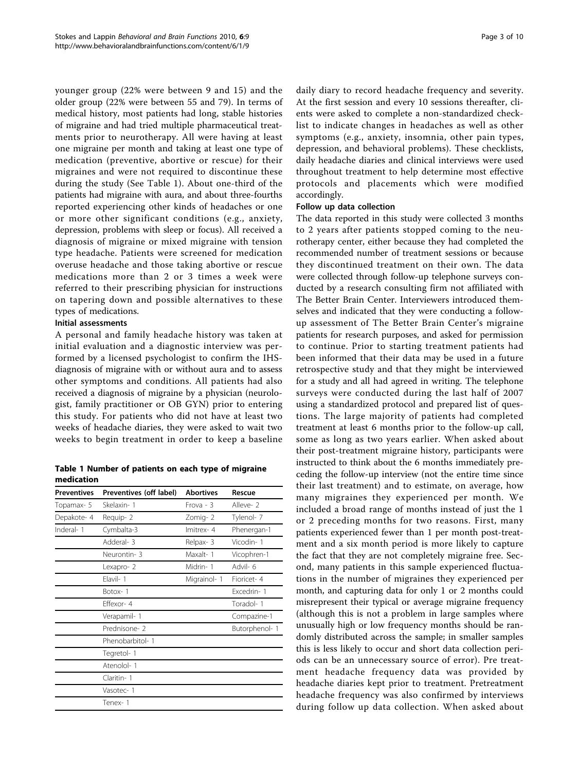younger group (22% were between 9 and 15) and the older group (22% were between 55 and 79). In terms of medical history, most patients had long, stable histories of migraine and had tried multiple pharmaceutical treatments prior to neurotherapy. All were having at least one migraine per month and taking at least one type of medication (preventive, abortive or rescue) for their migraines and were not required to discontinue these during the study (See Table 1). About one-third of the patients had migraine with aura, and about three-fourths reported experiencing other kinds of headaches or one or more other significant conditions (e.g., anxiety, depression, problems with sleep or focus). All received a diagnosis of migraine or mixed migraine with tension type headache. Patients were screened for medication overuse headache and those taking abortive or rescue medications more than 2 or 3 times a week were referred to their prescribing physician for instructions on tapering down and possible alternatives to these types of medications.

# Initial assessments

A personal and family headache history was taken at initial evaluation and a diagnostic interview was performed by a licensed psychologist to confirm the IHSdiagnosis of migraine with or without aura and to assess other symptoms and conditions. All patients had also received a diagnosis of migraine by a physician (neurologist, family practitioner or OB GYN) prior to entering this study. For patients who did not have at least two weeks of headache diaries, they were asked to wait two weeks to begin treatment in order to keep a baseline

Table 1 Number of patients on each type of migraine medication

| <b>Preventives</b> | Preventives (off label) | <b>Abortives</b> | Rescue        |
|--------------------|-------------------------|------------------|---------------|
| Topamax- 5         | Skelaxin-1              | $Frova - 3$      | Alleve- 2     |
| Depakote-4         | Requip-2                | Zomig-2          | Tylenol-7     |
| Inderal-1          | Cymbalta-3              | Imitrex-4        | Phenergan-1   |
|                    | Adderal-3               | Relpax-3         | Vicodin-1     |
|                    | Neurontin-3             | Maxalt-1         | Vicophren-1   |
|                    | Lexapro-2               | Midrin-1         | Advil-6       |
|                    | Flavil-1                | Migrainol-1      | Fioricet-4    |
|                    | Botox-1                 |                  | Excedrin-1    |
|                    | Fffexor-4               |                  | Toradol-1     |
|                    | Verapamil-1             |                  | Compazine-1   |
|                    | Prednisone- 2           |                  | Butorphenol-1 |
|                    | Phenobarbitol-1         |                  |               |
|                    | Tegretol-1              |                  |               |
|                    | Atenolol-1              |                  |               |
|                    | Claritin-1              |                  |               |
|                    | Vasotec-1               |                  |               |
|                    | Tenex-1                 |                  |               |

daily diary to record headache frequency and severity. At the first session and every 10 sessions thereafter, clients were asked to complete a non-standardized checklist to indicate changes in headaches as well as other symptoms (e.g., anxiety, insomnia, other pain types, depression, and behavioral problems). These checklists, daily headache diaries and clinical interviews were used throughout treatment to help determine most effective protocols and placements which were modified accordingly.

#### Follow up data collection

The data reported in this study were collected 3 months to 2 years after patients stopped coming to the neurotherapy center, either because they had completed the recommended number of treatment sessions or because they discontinued treatment on their own. The data were collected through follow-up telephone surveys conducted by a research consulting firm not affiliated with The Better Brain Center. Interviewers introduced themselves and indicated that they were conducting a followup assessment of The Better Brain Center's migraine patients for research purposes, and asked for permission to continue. Prior to starting treatment patients had been informed that their data may be used in a future retrospective study and that they might be interviewed for a study and all had agreed in writing. The telephone surveys were conducted during the last half of 2007 using a standardized protocol and prepared list of questions. The large majority of patients had completed treatment at least 6 months prior to the follow-up call, some as long as two years earlier. When asked about their post-treatment migraine history, participants were instructed to think about the 6 months immediately preceding the follow-up interview (not the entire time since their last treatment) and to estimate, on average, how many migraines they experienced per month. We included a broad range of months instead of just the 1 or 2 preceding months for two reasons. First, many patients experienced fewer than 1 per month post-treatment and a six month period is more likely to capture the fact that they are not completely migraine free. Second, many patients in this sample experienced fluctuations in the number of migraines they experienced per month, and capturing data for only 1 or 2 months could misrepresent their typical or average migraine frequency (although this is not a problem in large samples where unusually high or low frequency months should be randomly distributed across the sample; in smaller samples this is less likely to occur and short data collection periods can be an unnecessary source of error). Pre treatment headache frequency data was provided by headache diaries kept prior to treatment. Pretreatment headache frequency was also confirmed by interviews during follow up data collection. When asked about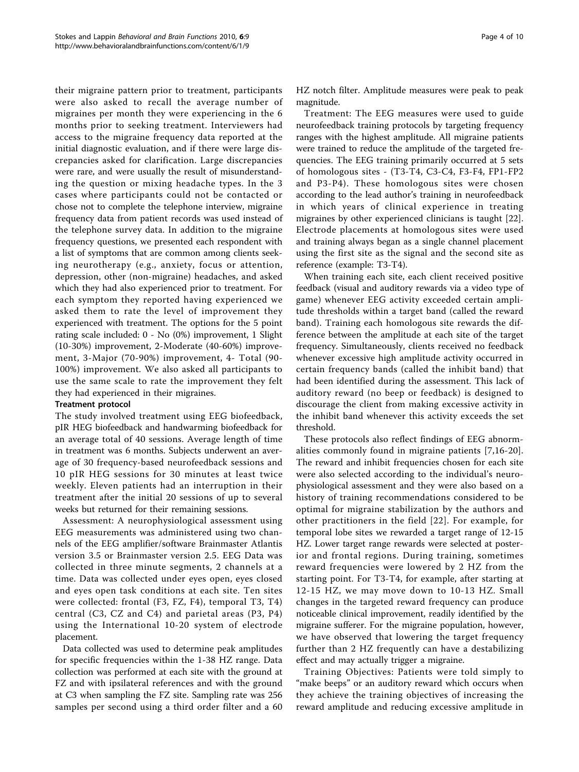their migraine pattern prior to treatment, participants were also asked to recall the average number of migraines per month they were experiencing in the 6 months prior to seeking treatment. Interviewers had access to the migraine frequency data reported at the initial diagnostic evaluation, and if there were large discrepancies asked for clarification. Large discrepancies were rare, and were usually the result of misunderstanding the question or mixing headache types. In the 3 cases where participants could not be contacted or chose not to complete the telephone interview, migraine frequency data from patient records was used instead of the telephone survey data. In addition to the migraine frequency questions, we presented each respondent with a list of symptoms that are common among clients seeking neurotherapy (e.g., anxiety, focus or attention, depression, other (non-migraine) headaches, and asked which they had also experienced prior to treatment. For each symptom they reported having experienced we asked them to rate the level of improvement they experienced with treatment. The options for the 5 point rating scale included: 0 - No (0%) improvement, 1 Slight (10-30%) improvement, 2-Moderate (40-60%) improvement, 3-Major (70-90%) improvement, 4- Total (90- 100%) improvement. We also asked all participants to use the same scale to rate the improvement they felt they had experienced in their migraines.

#### Treatment protocol

The study involved treatment using EEG biofeedback, pIR HEG biofeedback and handwarming biofeedback for an average total of 40 sessions. Average length of time in treatment was 6 months. Subjects underwent an average of 30 frequency-based neurofeedback sessions and 10 pIR HEG sessions for 30 minutes at least twice weekly. Eleven patients had an interruption in their treatment after the initial 20 sessions of up to several weeks but returned for their remaining sessions.

Assessment: A neurophysiological assessment using EEG measurements was administered using two channels of the EEG amplifier/software Brainmaster Atlantis version 3.5 or Brainmaster version 2.5. EEG Data was collected in three minute segments, 2 channels at a time. Data was collected under eyes open, eyes closed and eyes open task conditions at each site. Ten sites were collected: frontal (F3, FZ, F4), temporal T3, T4) central (C3, CZ and C4) and parietal areas (P3, P4) using the International 10-20 system of electrode placement.

Data collected was used to determine peak amplitudes for specific frequencies within the 1-38 HZ range. Data collection was performed at each site with the ground at FZ and with ipsilateral references and with the ground at C3 when sampling the FZ site. Sampling rate was 256 samples per second using a third order filter and a 60 Page 4 of 10

HZ notch filter. Amplitude measures were peak to peak magnitude.

Treatment: The EEG measures were used to guide neurofeedback training protocols by targeting frequency ranges with the highest amplitude. All migraine patients were trained to reduce the amplitude of the targeted frequencies. The EEG training primarily occurred at 5 sets of homologous sites - (T3-T4, C3-C4, F3-F4, FP1-FP2 and P3-P4). These homologous sites were chosen according to the lead author's training in neurofeedback in which years of clinical experience in treating migraines by other experienced clinicians is taught [\[22](#page-9-0)]. Electrode placements at homologous sites were used and training always began as a single channel placement using the first site as the signal and the second site as reference (example: T3-T4).

When training each site, each client received positive feedback (visual and auditory rewards via a video type of game) whenever EEG activity exceeded certain amplitude thresholds within a target band (called the reward band). Training each homologous site rewards the difference between the amplitude at each site of the target frequency. Simultaneously, clients received no feedback whenever excessive high amplitude activity occurred in certain frequency bands (called the inhibit band) that had been identified during the assessment. This lack of auditory reward (no beep or feedback) is designed to discourage the client from making excessive activity in the inhibit band whenever this activity exceeds the set threshold.

These protocols also reflect findings of EEG abnormalities commonly found in migraine patients [[7,16](#page-9-0)-[20](#page-9-0)]. The reward and inhibit frequencies chosen for each site were also selected according to the individual's neurophysiological assessment and they were also based on a history of training recommendations considered to be optimal for migraine stabilization by the authors and other practitioners in the field [[22](#page-9-0)]. For example, for temporal lobe sites we rewarded a target range of 12-15 HZ. Lower target range rewards were selected at posterior and frontal regions. During training, sometimes reward frequencies were lowered by 2 HZ from the starting point. For T3-T4, for example, after starting at 12-15 HZ, we may move down to 10-13 HZ. Small changes in the targeted reward frequency can produce noticeable clinical improvement, readily identified by the migraine sufferer. For the migraine population, however, we have observed that lowering the target frequency further than 2 HZ frequently can have a destabilizing effect and may actually trigger a migraine.

Training Objectives: Patients were told simply to "make beeps" or an auditory reward which occurs when they achieve the training objectives of increasing the reward amplitude and reducing excessive amplitude in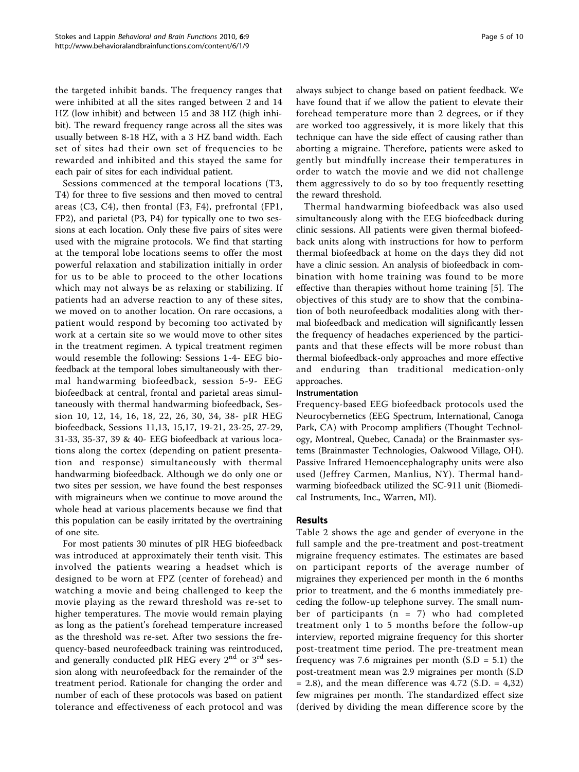the targeted inhibit bands. The frequency ranges that were inhibited at all the sites ranged between 2 and 14 HZ (low inhibit) and between 15 and 38 HZ (high inhibit). The reward frequency range across all the sites was usually between 8-18 HZ, with a 3 HZ band width. Each set of sites had their own set of frequencies to be rewarded and inhibited and this stayed the same for each pair of sites for each individual patient.

Sessions commenced at the temporal locations (T3, T4) for three to five sessions and then moved to central areas (C3, C4), then frontal (F3, F4), prefrontal (FP1, FP2), and parietal (P3, P4) for typically one to two sessions at each location. Only these five pairs of sites were used with the migraine protocols. We find that starting at the temporal lobe locations seems to offer the most powerful relaxation and stabilization initially in order for us to be able to proceed to the other locations which may not always be as relaxing or stabilizing. If patients had an adverse reaction to any of these sites, we moved on to another location. On rare occasions, a patient would respond by becoming too activated by work at a certain site so we would move to other sites in the treatment regimen. A typical treatment regimen would resemble the following: Sessions 1-4- EEG biofeedback at the temporal lobes simultaneously with thermal handwarming biofeedback, session 5-9- EEG biofeedback at central, frontal and parietal areas simultaneously with thermal handwarming biofeedback, Session 10, 12, 14, 16, 18, 22, 26, 30, 34, 38- pIR HEG biofeedback, Sessions 11,13, 15,17, 19-21, 23-25, 27-29, 31-33, 35-37, 39 & 40- EEG biofeedback at various locations along the cortex (depending on patient presentation and response) simultaneously with thermal handwarming biofeedback. Although we do only one or two sites per session, we have found the best responses with migraineurs when we continue to move around the whole head at various placements because we find that this population can be easily irritated by the overtraining of one site.

For most patients 30 minutes of pIR HEG biofeedback was introduced at approximately their tenth visit. This involved the patients wearing a headset which is designed to be worn at FPZ (center of forehead) and watching a movie and being challenged to keep the movie playing as the reward threshold was re-set to higher temperatures. The movie would remain playing as long as the patient's forehead temperature increased as the threshold was re-set. After two sessions the frequency-based neurofeedback training was reintroduced, and generally conducted pIR HEG every  $2<sup>nd</sup>$  or  $3<sup>rd</sup>$  session along with neurofeedback for the remainder of the treatment period. Rationale for changing the order and number of each of these protocols was based on patient tolerance and effectiveness of each protocol and was always subject to change based on patient feedback. We have found that if we allow the patient to elevate their forehead temperature more than 2 degrees, or if they are worked too aggressively, it is more likely that this technique can have the side effect of causing rather than aborting a migraine. Therefore, patients were asked to gently but mindfully increase their temperatures in order to watch the movie and we did not challenge them aggressively to do so by too frequently resetting the reward threshold.

Thermal handwarming biofeedback was also used simultaneously along with the EEG biofeedback during clinic sessions. All patients were given thermal biofeedback units along with instructions for how to perform thermal biofeedback at home on the days they did not have a clinic session. An analysis of biofeedback in combination with home training was found to be more effective than therapies without home training [\[5](#page-8-0)]. The objectives of this study are to show that the combination of both neurofeedback modalities along with thermal biofeedback and medication will significantly lessen the frequency of headaches experienced by the participants and that these effects will be more robust than thermal biofeedback-only approaches and more effective and enduring than traditional medication-only approaches.

#### Instrumentation

Frequency-based EEG biofeedback protocols used the Neurocybernetics (EEG Spectrum, International, Canoga Park, CA) with Procomp amplifiers (Thought Technology, Montreal, Quebec, Canada) or the Brainmaster systems (Brainmaster Technologies, Oakwood Village, OH). Passive Infrared Hemoencephalography units were also used (Jeffrey Carmen, Manlius, NY). Thermal handwarming biofeedback utilized the SC-911 unit (Biomedical Instruments, Inc., Warren, MI).

# Results

Table [2](#page-6-0) shows the age and gender of everyone in the full sample and the pre-treatment and post-treatment migraine frequency estimates. The estimates are based on participant reports of the average number of migraines they experienced per month in the 6 months prior to treatment, and the 6 months immediately preceding the follow-up telephone survey. The small number of participants  $(n = 7)$  who had completed treatment only 1 to 5 months before the follow-up interview, reported migraine frequency for this shorter post-treatment time period. The pre-treatment mean frequency was 7.6 migraines per month  $(S.D = 5.1)$  the post-treatment mean was 2.9 migraines per month (S.D  $= 2.8$ ), and the mean difference was 4.72 (S.D.  $= 4,32$ ) few migraines per month. The standardized effect size (derived by dividing the mean difference score by the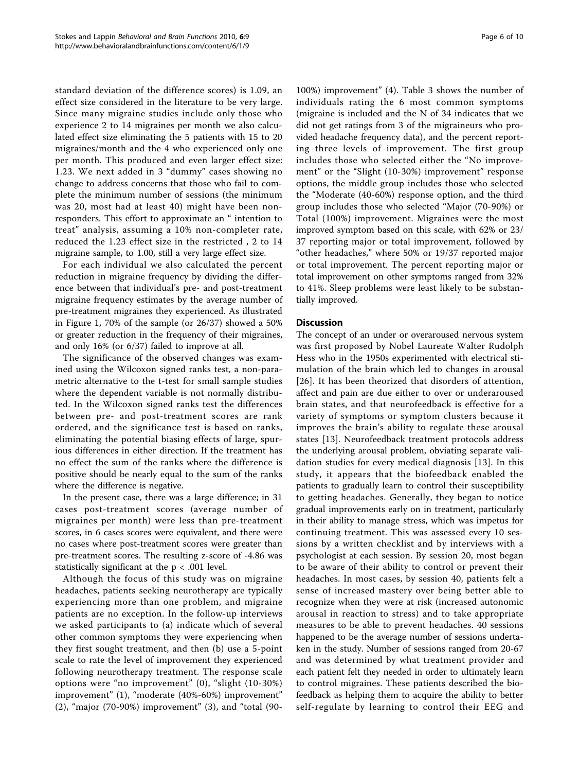standard deviation of the difference scores) is 1.09, an effect size considered in the literature to be very large. Since many migraine studies include only those who experience 2 to 14 migraines per month we also calculated effect size eliminating the 5 patients with 15 to 20 migraines/month and the 4 who experienced only one per month. This produced and even larger effect size: 1.23. We next added in 3 "dummy" cases showing no change to address concerns that those who fail to complete the minimum number of sessions (the minimum was 20, most had at least 40) might have been nonresponders. This effort to approximate an " intention to treat" analysis, assuming a 10% non-completer rate, reduced the 1.23 effect size in the restricted , 2 to 14 migraine sample, to 1.00, still a very large effect size.

For each individual we also calculated the percent reduction in migraine frequency by dividing the difference between that individual's pre- and post-treatment migraine frequency estimates by the average number of pre-treatment migraines they experienced. As illustrated in Figure [1](#page-7-0), 70% of the sample (or 26/37) showed a 50% or greater reduction in the frequency of their migraines, and only 16% (or 6/37) failed to improve at all.

The significance of the observed changes was examined using the Wilcoxon signed ranks test, a non-parametric alternative to the t-test for small sample studies where the dependent variable is not normally distributed. In the Wilcoxon signed ranks test the differences between pre- and post-treatment scores are rank ordered, and the significance test is based on ranks, eliminating the potential biasing effects of large, spurious differences in either direction. If the treatment has no effect the sum of the ranks where the difference is positive should be nearly equal to the sum of the ranks where the difference is negative.

In the present case, there was a large difference; in 31 cases post-treatment scores (average number of migraines per month) were less than pre-treatment scores, in 6 cases scores were equivalent, and there were no cases where post-treatment scores were greater than pre-treatment scores. The resulting z-score of -4.86 was statistically significant at the  $p < .001$  level.

Although the focus of this study was on migraine headaches, patients seeking neurotherapy are typically experiencing more than one problem, and migraine patients are no exception. In the follow-up interviews we asked participants to (a) indicate which of several other common symptoms they were experiencing when they first sought treatment, and then (b) use a 5-point scale to rate the level of improvement they experienced following neurotherapy treatment. The response scale options were "no improvement" (0), "slight (10-30%) improvement" (1), "moderate (40%-60%) improvement" (2), "major (70-90%) improvement" (3), and "total (90-

100%) improvement" (4). Table [3](#page-7-0) shows the number of individuals rating the 6 most common symptoms (migraine is included and the N of 34 indicates that we did not get ratings from 3 of the migraineurs who provided headache frequency data), and the percent reporting three levels of improvement. The first group includes those who selected either the "No improvement" or the "Slight (10-30%) improvement" response options, the middle group includes those who selected the "Moderate (40-60%) response option, and the third group includes those who selected "Major (70-90%) or Total (100%) improvement. Migraines were the most improved symptom based on this scale, with 62% or 23/ 37 reporting major or total improvement, followed by "other headaches," where 50% or 19/37 reported major or total improvement. The percent reporting major or total improvement on other symptoms ranged from 32% to 41%. Sleep problems were least likely to be substantially improved.

# **Discussion**

The concept of an under or overaroused nervous system was first proposed by Nobel Laureate Walter Rudolph Hess who in the 1950s experimented with electrical stimulation of the brain which led to changes in arousal [[26](#page-9-0)]. It has been theorized that disorders of attention, affect and pain are due either to over or underaroused brain states, and that neurofeedback is effective for a variety of symptoms or symptom clusters because it improves the brain's ability to regulate these arousal states [[13\]](#page-9-0). Neurofeedback treatment protocols address the underlying arousal problem, obviating separate validation studies for every medical diagnosis [\[13\]](#page-9-0). In this study, it appears that the biofeedback enabled the patients to gradually learn to control their susceptibility to getting headaches. Generally, they began to notice gradual improvements early on in treatment, particularly in their ability to manage stress, which was impetus for continuing treatment. This was assessed every 10 sessions by a written checklist and by interviews with a psychologist at each session. By session 20, most began to be aware of their ability to control or prevent their headaches. In most cases, by session 40, patients felt a sense of increased mastery over being better able to recognize when they were at risk (increased autonomic arousal in reaction to stress) and to take appropriate measures to be able to prevent headaches. 40 sessions happened to be the average number of sessions undertaken in the study. Number of sessions ranged from 20-67 and was determined by what treatment provider and each patient felt they needed in order to ultimately learn to control migraines. These patients described the biofeedback as helping them to acquire the ability to better self-regulate by learning to control their EEG and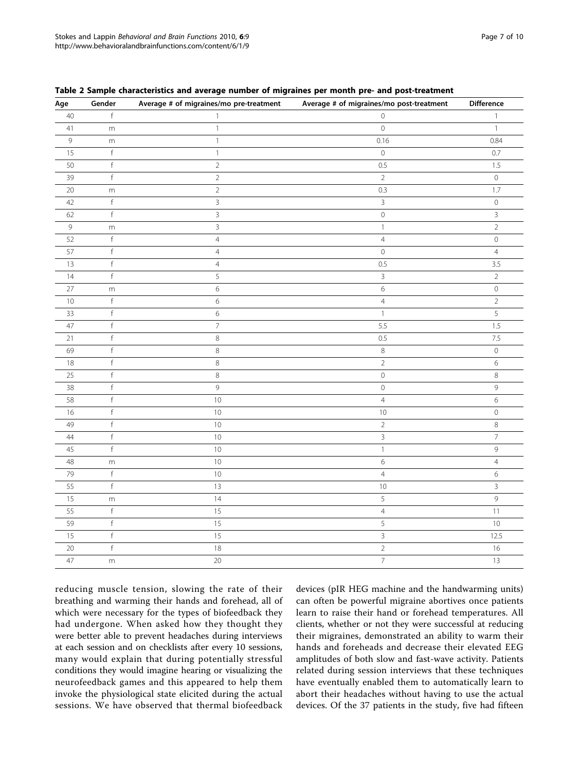reducing muscle tension, slowing the rate of their breathing and warming their hands and forehead, all of which were necessary for the types of biofeedback they had undergone. When asked how they thought they were better able to prevent headaches during interviews at each session and on checklists after every 10 sessions, many would explain that during potentially stressful conditions they would imagine hearing or visualizing the neurofeedback games and this appeared to help them invoke the physiological state elicited during the actual sessions. We have observed that thermal biofeedback

devices (pIR HEG machine and the handwarming units) can often be powerful migraine abortives once patients learn to raise their hand or forehead temperatures. All clients, whether or not they were successful at reducing their migraines, demonstrated an ability to warm their hands and foreheads and decrease their elevated EEG amplitudes of both slow and fast-wave activity. Patients related during session interviews that these techniques have eventually enabled them to automatically learn to abort their headaches without having to use the actual devices. Of the 37 patients in the study, five had fifteen

| Age             | Gender      | Average # of migraines/mo pre-treatment | Average # of migraines/mo post-treatment | Difference     |
|-----------------|-------------|-----------------------------------------|------------------------------------------|----------------|
| 40              | f           | $\mathbf{1}$                            | $\overline{0}$                           | $\mathbf{1}$   |
| $41$            | ${\sf m}$   | $\mathbf{1}$                            | $\mathbf 0$                              | $\mathbf{1}$   |
| $\mathsf 9$     | m           | $\mathbb{1}$                            | 0.16                                     | 0.84           |
| 15              | $\mathsf f$ | $\mathbf{1}$                            | $\mathsf{O}\xspace$                      | 0.7            |
| 50              | $\mathsf f$ | $\overline{2}$                          | 0.5                                      | 1.5            |
| 39              | $\mathsf f$ | $\overline{2}$                          | $\overline{2}$                           | $\mathsf O$    |
| $20\,$          | ${\sf m}$   | $\overline{2}$                          | 0.3                                      | 1.7            |
| 42              | $\mathsf f$ | $\overline{3}$                          | $\overline{3}$                           | $\mathbf 0$    |
| 62              | $\mathsf f$ | $\overline{3}$                          | $\mathsf{O}$                             | $\overline{3}$ |
| $\overline{9}$  | ${\sf m}$   | $\overline{3}$                          | $\mathbf{1}$                             | $\overline{2}$ |
| 52              | $\mathsf f$ | $\overline{4}$                          | $\overline{4}$                           | $\mathsf O$    |
| 57              | $\mathsf f$ | $\overline{4}$                          | $\mathbb O$                              | $\overline{4}$ |
| 13              | $\mathsf f$ | $\overline{4}$                          | 0.5                                      | 3.5            |
| 14              | $\mathsf f$ | 5                                       | $\overline{3}$                           | $\sqrt{2}$     |
| 27              | ${\sf m}$   | $\,$ 6 $\,$                             | $\,$ 6 $\,$                              | $\mathbf 0$    |
| 10              | $\mathsf f$ | $\,$ 6 $\,$                             | $\sqrt{4}$                               | $\sqrt{2}$     |
| 33              | $\mathsf f$ | $\,$ 6 $\,$                             | $\mathbf{1}$                             | 5              |
| 47              | $\mathsf f$ | $\overline{7}$                          | 5.5                                      | 1.5            |
| $\overline{21}$ | $\mathsf f$ | $\,8\,$                                 | 0.5                                      | 7.5            |
| 69              | $\mathsf f$ | $\,8\,$                                 | $\,8\,$                                  | $\mathbf 0$    |
| 18              | $\mathsf f$ | $\,8\,$                                 | $\overline{2}$                           | 6              |
| 25              | $\mathsf f$ | $\,8\,$                                 | $\mathsf{O}\xspace$                      | $\,8\,$        |
| 38              | $\mathsf f$ | $\mathsf 9$                             | $\mathbb O$                              | $\mathsf 9$    |
| 58              | f           | $10$                                    | $\sqrt{4}$                               | $\epsilon$     |
| 16              | $\mathsf f$ | $10\,$                                  | $10$                                     | $\mathsf O$    |
| 49              | $\mathsf f$ | $10\,$                                  | $\overline{2}$                           | $\,8\,$        |
| $\overline{44}$ | $\mathsf f$ | $10$                                    | $\overline{3}$                           | $\overline{7}$ |
| 45              | f           | $10\,$                                  | $\mathbf{1}$                             | 9              |
| 48              | ${\sf m}$   | $10\,$                                  | $\,$ 6 $\,$                              | $\overline{4}$ |
| 79              | f           | $10\,$                                  | $\sqrt{4}$                               | 6              |
| 55              | $\mathsf f$ | 13                                      | $10$                                     | 3              |
| 15              | ${\sf m}$   | $14$                                    | $\mathsf S$                              | $\mathsf{G}$   |
| 55              | $\mathsf f$ | 15                                      | $\overline{4}$                           | $11$           |
| 59              | $\mathsf f$ | 15                                      | $\overline{5}$                           | 10             |
| 15              | $\mathsf f$ | 15                                      | $\mathbf{3}$                             | 12.5           |
| 20              | $\mathsf f$ | $18\,$                                  | $\overline{2}$                           | 16             |
| 47              | ${\sf m}$   | 20                                      | $\overline{7}$                           | 13             |

<span id="page-6-0"></span>Table 2 Sample characteristics and average number of migraines per month pre- and post-treatment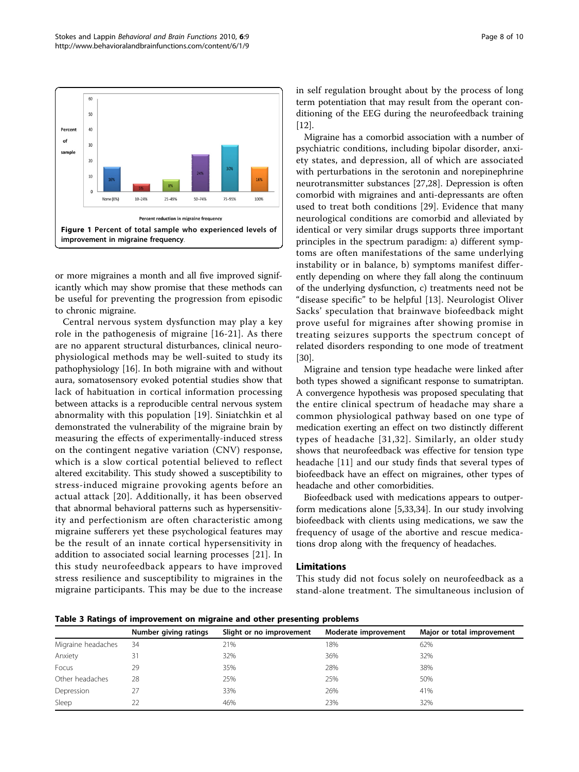<span id="page-7-0"></span>

or more migraines a month and all five improved significantly which may show promise that these methods can be useful for preventing the progression from episodic to chronic migraine.

Central nervous system dysfunction may play a key role in the pathogenesis of migraine [[16-21\]](#page-9-0). As there are no apparent structural disturbances, clinical neurophysiological methods may be well-suited to study its pathophysiology [\[16\]](#page-9-0). In both migraine with and without aura, somatosensory evoked potential studies show that lack of habituation in cortical information processing between attacks is a reproducible central nervous system abnormality with this population [[19\]](#page-9-0). Siniatchkin et al demonstrated the vulnerability of the migraine brain by measuring the effects of experimentally-induced stress on the contingent negative variation (CNV) response, which is a slow cortical potential believed to reflect altered excitability. This study showed a susceptibility to stress-induced migraine provoking agents before an actual attack [[20](#page-9-0)]. Additionally, it has been observed that abnormal behavioral patterns such as hypersensitivity and perfectionism are often characteristic among migraine sufferers yet these psychological features may be the result of an innate cortical hypersensitivity in addition to associated social learning processes [[21\]](#page-9-0). In this study neurofeedback appears to have improved stress resilience and susceptibility to migraines in the migraine participants. This may be due to the increase in self regulation brought about by the process of long term potentiation that may result from the operant conditioning of the EEG during the neurofeedback training [[12\]](#page-9-0).

Migraine has a comorbid association with a number of psychiatric conditions, including bipolar disorder, anxiety states, and depression, all of which are associated with perturbations in the serotonin and norepinephrine neurotransmitter substances [\[27,28](#page-9-0)]. Depression is often comorbid with migraines and anti-depressants are often used to treat both conditions [[29\]](#page-9-0). Evidence that many neurological conditions are comorbid and alleviated by identical or very similar drugs supports three important principles in the spectrum paradigm: a) different symptoms are often manifestations of the same underlying instability or in balance, b) symptoms manifest differently depending on where they fall along the continuum of the underlying dysfunction, c) treatments need not be "disease specific" to be helpful [[13\]](#page-9-0). Neurologist Oliver Sacks' speculation that brainwave biofeedback might prove useful for migraines after showing promise in treating seizures supports the spectrum concept of related disorders responding to one mode of treatment [[30\]](#page-9-0).

Migraine and tension type headache were linked after both types showed a significant response to sumatriptan. A convergence hypothesis was proposed speculating that the entire clinical spectrum of headache may share a common physiological pathway based on one type of medication exerting an effect on two distinctly different types of headache [[31,32](#page-9-0)]. Similarly, an older study shows that neurofeedback was effective for tension type headache [\[11](#page-9-0)] and our study finds that several types of biofeedback have an effect on migraines, other types of headache and other comorbidities.

Biofeedback used with medications appears to outperform medications alone [[5,](#page-8-0)[33,34\]](#page-9-0). In our study involving biofeedback with clients using medications, we saw the frequency of usage of the abortive and rescue medications drop along with the frequency of headaches.

# Limitations

This study did not focus solely on neurofeedback as a stand-alone treatment. The simultaneous inclusion of

Table 3 Ratings of improvement on migraine and other presenting problems

|                    | -<br>- -              |                          |                      |                            |  |
|--------------------|-----------------------|--------------------------|----------------------|----------------------------|--|
|                    | Number giving ratings | Slight or no improvement | Moderate improvement | Major or total improvement |  |
| Migraine headaches | 34                    | 21%                      | 18%                  | 62%                        |  |
| Anxiety            |                       | 32%                      | 36%                  | 32%                        |  |
| Focus              | 29                    | 35%                      | 28%                  | 38%                        |  |
| Other headaches    | 28                    | 25%                      | 25%                  | 50%                        |  |
| Depression         |                       | 33%                      | 26%                  | 41%                        |  |
| Sleep              | 22                    | 46%                      | 23%                  | 32%                        |  |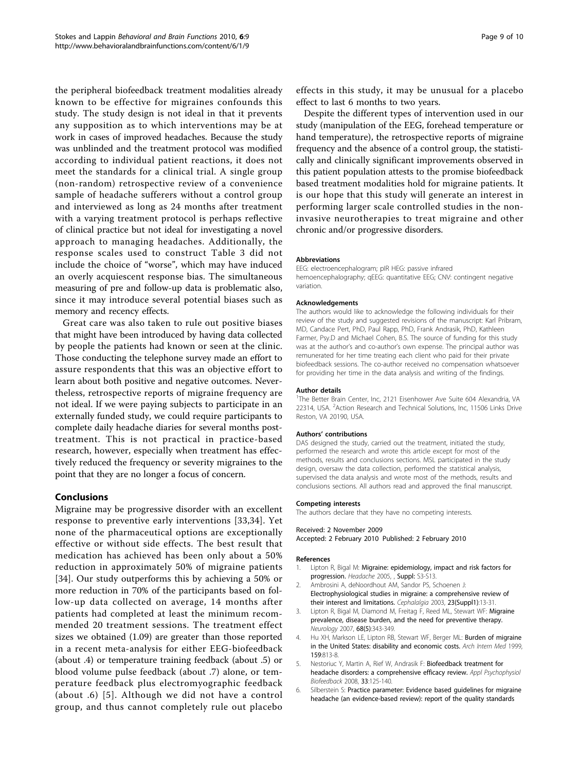<span id="page-8-0"></span>the peripheral biofeedback treatment modalities already known to be effective for migraines confounds this study. The study design is not ideal in that it prevents any supposition as to which interventions may be at work in cases of improved headaches. Because the study was unblinded and the treatment protocol was modified according to individual patient reactions, it does not meet the standards for a clinical trial. A single group (non-random) retrospective review of a convenience sample of headache sufferers without a control group and interviewed as long as 24 months after treatment with a varying treatment protocol is perhaps reflective of clinical practice but not ideal for investigating a novel approach to managing headaches. Additionally, the response scales used to construct Table [3](#page-7-0) did not include the choice of "worse", which may have induced an overly acquiescent response bias. The simultaneous measuring of pre and follow-up data is problematic also, since it may introduce several potential biases such as memory and recency effects.

Great care was also taken to rule out positive biases that might have been introduced by having data collected by people the patients had known or seen at the clinic. Those conducting the telephone survey made an effort to assure respondents that this was an objective effort to learn about both positive and negative outcomes. Nevertheless, retrospective reports of migraine frequency are not ideal. If we were paying subjects to participate in an externally funded study, we could require participants to complete daily headache diaries for several months posttreatment. This is not practical in practice-based research, however, especially when treatment has effectively reduced the frequency or severity migraines to the point that they are no longer a focus of concern.

# Conclusions

Migraine may be progressive disorder with an excellent response to preventive early interventions [\[33,34](#page-9-0)]. Yet none of the pharmaceutical options are exceptionally effective or without side effects. The best result that medication has achieved has been only about a 50% reduction in approximately 50% of migraine patients [[34\]](#page-9-0). Our study outperforms this by achieving a 50% or more reduction in 70% of the participants based on follow-up data collected on average, 14 months after patients had completed at least the minimum recommended 20 treatment sessions. The treatment effect sizes we obtained (1.09) are greater than those reported in a recent meta-analysis for either EEG-biofeedback (about .4) or temperature training feedback (about .5) or blood volume pulse feedback (about .7) alone, or temperature feedback plus electromyographic feedback (about .6) [5]. Although we did not have a control group, and thus cannot completely rule out placebo

effects in this study, it may be unusual for a placebo effect to last 6 months to two years.

Despite the different types of intervention used in our study (manipulation of the EEG, forehead temperature or hand temperature), the retrospective reports of migraine frequency and the absence of a control group, the statistically and clinically significant improvements observed in this patient population attests to the promise biofeedback based treatment modalities hold for migraine patients. It is our hope that this study will generate an interest in performing larger scale controlled studies in the noninvasive neurotherapies to treat migraine and other chronic and/or progressive disorders.

#### Abbreviations

EEG: electroencephalogram; pIR HEG: passive infrared hemoencephalography; qEEG: quantitative EEG; CNV: contingent negative variation.

#### Acknowledgements

The authors would like to acknowledge the following individuals for their review of the study and suggested revisions of the manuscript: Karl Pribram, MD, Candace Pert, PhD, Paul Rapp, PhD, Frank Andrasik, PhD, Kathleen Farmer, Psy.D and Michael Cohen, B.S. The source of funding for this study was at the author's and co-author's own expense. The principal author was remunerated for her time treating each client who paid for their private biofeedback sessions. The co-author received no compensation whatsoever for providing her time in the data analysis and writing of the findings.

#### Author details

<sup>1</sup>The Better Brain Center, Inc, 2121 Eisenhower Ave Suite 604 Alexandria, VA 22314, USA. <sup>2</sup> Action Research and Technical Solutions, Inc, 11506 Links Drive Reston, VA 20190, USA.

#### Authors' contributions

DAS designed the study, carried out the treatment, initiated the study, performed the research and wrote this article except for most of the methods, results and conclusions sections. MSL participated in the study design, oversaw the data collection, performed the statistical analysis, supervised the data analysis and wrote most of the methods, results and conclusions sections. All authors read and approved the final manuscript.

#### Competing interests

The authors declare that they have no competing interests.

#### Received: 2 November 2009

Accepted: 2 February 2010 Published: 2 February 2010

#### References

- 1. Lipton R, Bigal M: [Migraine: epidemiology, impact and risk factors for](http://www.ncbi.nlm.nih.gov/pubmed/15833088?dopt=Abstract) [progression.](http://www.ncbi.nlm.nih.gov/pubmed/15833088?dopt=Abstract) Headache 2005, , Suppl: S3-S13.
- 2. Ambrosini A, deNoordhout AM, Sandor PS, Schoenen J: [Electrophysiological studies in migraine: a comprehensive review of](http://www.ncbi.nlm.nih.gov/pubmed/12699456?dopt=Abstract) [their interest and limitations.](http://www.ncbi.nlm.nih.gov/pubmed/12699456?dopt=Abstract) Cephalalgia 2003, 23(Suppl1):13-31.
- Lipton R, Bigal M, Diamond M, Freitag F, Reed ML, Stewart WF: [Migraine](http://www.ncbi.nlm.nih.gov/pubmed/17261680?dopt=Abstract) [prevalence, disease burden, and the need for preventive therapy.](http://www.ncbi.nlm.nih.gov/pubmed/17261680?dopt=Abstract) Neurology 2007, 68(5):343-349.
- 4. Hu XH, Markson LE, Lipton RB, Stewart WF, Berger ML: [Burden of migraine](http://www.ncbi.nlm.nih.gov/pubmed/10219926?dopt=Abstract) [in the United States: disability and economic costs.](http://www.ncbi.nlm.nih.gov/pubmed/10219926?dopt=Abstract) Arch Intern Med 1999, 159:813-8.
- Nestoriuc Y, Martin A, Rief W, Andrasik F: [Biofeedback treatment for](http://www.ncbi.nlm.nih.gov/pubmed/18726688?dopt=Abstract) [headache disorders: a comprehensive efficacy review.](http://www.ncbi.nlm.nih.gov/pubmed/18726688?dopt=Abstract) Appl Psychophysiol Biofeedback 2008, 33:125-140.
- 6. Silberstein S: [Practice parameter: Evidence based guidelines for migraine](http://www.ncbi.nlm.nih.gov/pubmed/10993991?dopt=Abstract) [headache \(an evidence-based review\): report of the quality standards](http://www.ncbi.nlm.nih.gov/pubmed/10993991?dopt=Abstract)